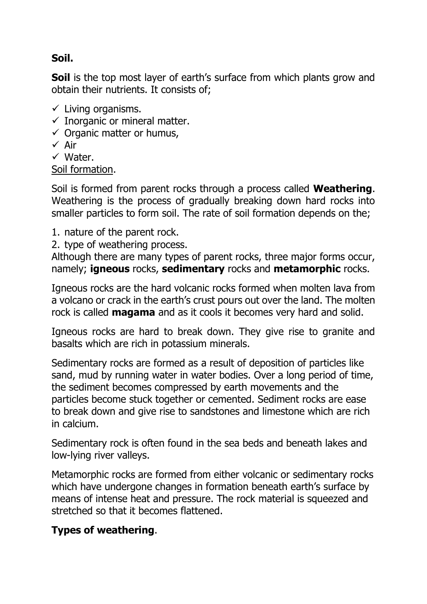# **Soil.**

**Soil** is the top most layer of earth's surface from which plants grow and obtain their nutrients. It consists of;

- $\checkmark$  Living organisms.
- $\checkmark$  Inorganic or mineral matter.
- $\checkmark$  Organic matter or humus,
- $\checkmark$  Air
- $\checkmark$  Water.

Soil formation.

Soil is formed from parent rocks through a process called **Weathering**. Weathering is the process of gradually breaking down hard rocks into smaller particles to form soil. The rate of soil formation depends on the;

- 1. nature of the parent rock.
- 2. type of weathering process.

Although there are many types of parent rocks, three major forms occur, namely; **igneous** rocks, **sedimentary** rocks and **metamorphic** rocks.

Igneous rocks are the hard volcanic rocks formed when molten lava from a volcano or crack in the earth's crust pours out over the land. The molten rock is called **magama** and as it cools it becomes very hard and solid.

Igneous rocks are hard to break down. They give rise to granite and basalts which are rich in potassium minerals.

Sedimentary rocks are formed as a result of deposition of particles like sand, mud by running water in water bodies. Over a long period of time, the sediment becomes compressed by earth movements and the particles become stuck together or cemented. Sediment rocks are ease to break down and give rise to sandstones and limestone which are rich in calcium.

Sedimentary rock is often found in the sea beds and beneath lakes and low-lying river valleys.

Metamorphic rocks are formed from either volcanic or sedimentary rocks which have undergone changes in formation beneath earth's surface by means of intense heat and pressure. The rock material is squeezed and stretched so that it becomes flattened.

### **Types of weathering**.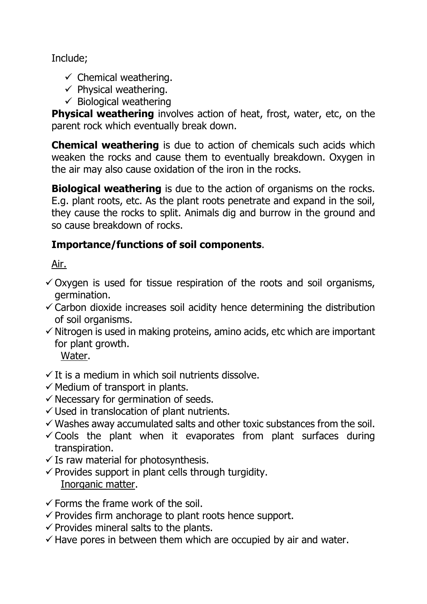Include;

- $\checkmark$  Chemical weathering.
- $\checkmark$  Physical weathering.
- $\checkmark$  Biological weathering

**Physical weathering** involves action of heat, frost, water, etc, on the parent rock which eventually break down.

**Chemical weathering** is due to action of chemicals such acids which weaken the rocks and cause them to eventually breakdown. Oxygen in the air may also cause oxidation of the iron in the rocks.

**Biological weathering** is due to the action of organisms on the rocks. E.g. plant roots, etc. As the plant roots penetrate and expand in the soil, they cause the rocks to split. Animals dig and burrow in the ground and so cause breakdown of rocks.

# **Importance/functions of soil components**.

Air.

- $\checkmark$  Oxygen is used for tissue respiration of the roots and soil organisms, germination.
- $\checkmark$  Carbon dioxide increases soil acidity hence determining the distribution of soil organisms.
- $\checkmark$  Nitrogen is used in making proteins, amino acids, etc which are important for plant growth.

Water.

- $\checkmark$  It is a medium in which soil nutrients dissolve.
- $\checkmark$  Medium of transport in plants.
- $\checkmark$  Necessary for germination of seeds.
- $\checkmark$  Used in translocation of plant nutrients.
- $\checkmark$  Washes away accumulated salts and other toxic substances from the soil.
- $\checkmark$  Cools the plant when it evaporates from plant surfaces during transpiration.
- $\checkmark$  Is raw material for photosynthesis.
- $\checkmark$  Provides support in plant cells through turgidity. Inorganic matter.
- $\checkmark$  Forms the frame work of the soil.
- $\checkmark$  Provides firm anchorage to plant roots hence support.
- $\checkmark$  Provides mineral salts to the plants.
- $\checkmark$  Have pores in between them which are occupied by air and water.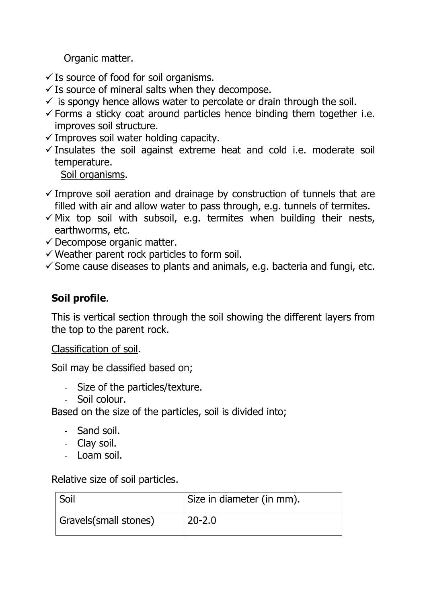Organic matter.

- $\checkmark$  Is source of food for soil organisms.
- $\checkmark$  Is source of mineral salts when they decompose.
- $\checkmark$  is spongy hence allows water to percolate or drain through the soil.
- $\checkmark$  Forms a sticky coat around particles hence binding them together i.e. improves soil structure.
- $\checkmark$  Improves soil water holding capacity.
- $\checkmark$  Insulates the soil against extreme heat and cold i.e. moderate soil temperature.

Soil organisms.

- $\checkmark$  Improve soil aeration and drainage by construction of tunnels that are filled with air and allow water to pass through, e.g. tunnels of termites.
- $\checkmark$  Mix top soil with subsoil, e.g. termites when building their nests, earthworms, etc.
- $\checkmark$  Decompose organic matter.
- $\checkmark$  Weather parent rock particles to form soil.
- $\checkmark$  Some cause diseases to plants and animals, e.g. bacteria and fungi, etc.

# **Soil profile**.

This is vertical section through the soil showing the different layers from the top to the parent rock.

Classification of soil.

Soil may be classified based on;

- Size of the particles/texture.
- Soil colour.

Based on the size of the particles, soil is divided into;

- Sand soil.
- Clay soil.
- Loam soil.

### Relative size of soil particles.

| Soil                  | Size in diameter (in mm). |
|-----------------------|---------------------------|
| Gravels(small stones) | $20 - 2.0$                |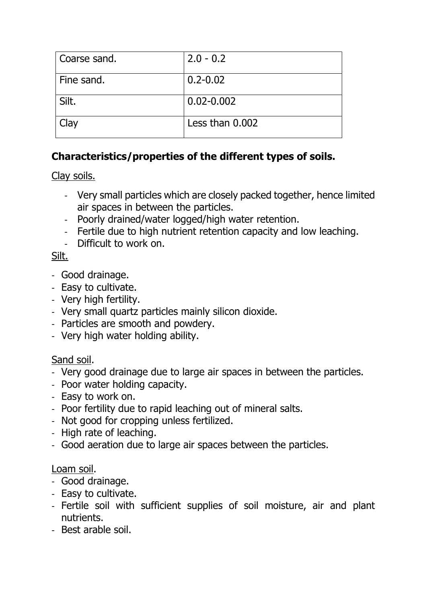| Coarse sand. | $2.0 - 0.2$     |
|--------------|-----------------|
| Fine sand.   | $0.2 - 0.02$    |
| Silt.        | $0.02 - 0.002$  |
| Clay         | Less than 0.002 |

# **Characteristics/properties of the different types of soils.**

Clay soils.

- Very small particles which are closely packed together, hence limited air spaces in between the particles.
- Poorly drained/water logged/high water retention.
- Fertile due to high nutrient retention capacity and low leaching.
- Difficult to work on.

# Silt.

- Good drainage.
- Easy to cultivate.
- Very high fertility.
- Very small quartz particles mainly silicon dioxide.
- Particles are smooth and powdery.
- Very high water holding ability.

## Sand soil.

- Very good drainage due to large air spaces in between the particles.
- Poor water holding capacity.
- Easy to work on.
- Poor fertility due to rapid leaching out of mineral salts.
- Not good for cropping unless fertilized.
- High rate of leaching.
- Good aeration due to large air spaces between the particles.

### Loam soil.

- Good drainage.
- Easy to cultivate.
- Fertile soil with sufficient supplies of soil moisture, air and plant nutrients.
- Best arable soil.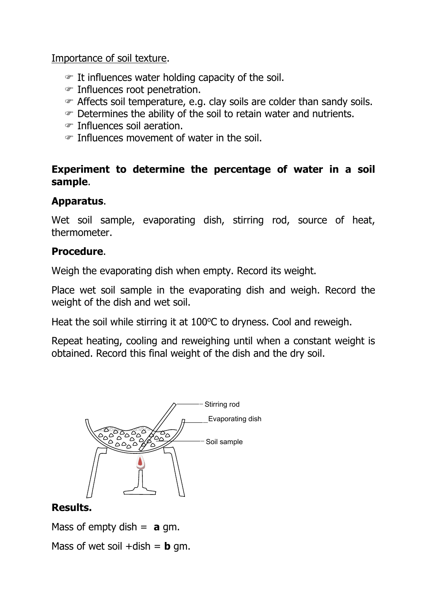Importance of soil texture.

- $\mathcal F$  It influences water holding capacity of the soil.
- Influences root penetration.
- Affects soil temperature, e.g. clay soils are colder than sandy soils.
- Determines the ability of the soil to retain water and nutrients.
- Influences soil aeration.
- Influences movement of water in the soil.

### **Experiment to determine the percentage of water in a soil sample**.

## **Apparatus**.

Wet soil sample, evaporating dish, stirring rod, source of heat, thermometer.

### **Procedure**.

Weigh the evaporating dish when empty. Record its weight.

Place wet soil sample in the evaporating dish and weigh. Record the weight of the dish and wet soil.

Heat the soil while stirring it at  $100^{\circ}$ C to dryness. Cool and reweigh.

Repeat heating, cooling and reweighing until when a constant weight is obtained. Record this final weight of the dish and the dry soil.



## **Results.**

Mass of empty dish  $=$  **a** gm.

Mass of wet soil  $+$ dish = **b** gm.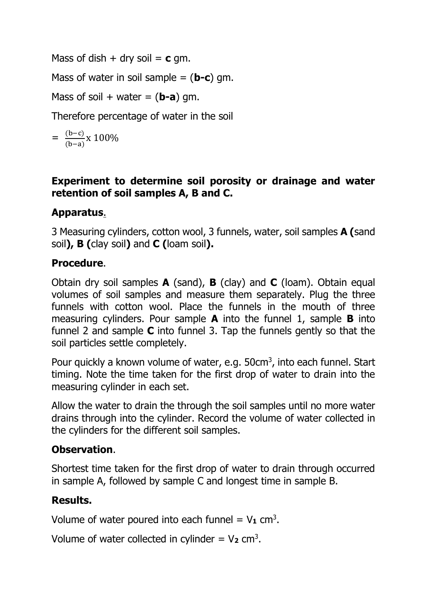Mass of dish  $+$  dry soil  $=$  **c** gm.

Mass of water in soil sample = (**b-c**) gm.

Mass of soil + water =  $(b-a)$  gm.

Therefore percentage of water in the soil

$$
= \frac{(b-c)}{(b-a)} \times 100\%
$$

### **Experiment to determine soil porosity or drainage and water retention of soil samples A, B and C.**

# **Apparatus**.

3 Measuring cylinders, cotton wool, 3 funnels, water, soil samples **A (**sand soil**), B (**clay soil**)** and **C (**loam soil**).**

### **Procedure**.

Obtain dry soil samples **A** (sand), **B** (clay) and **C** (loam). Obtain equal volumes of soil samples and measure them separately. Plug the three funnels with cotton wool. Place the funnels in the mouth of three measuring cylinders. Pour sample **A** into the funnel 1, sample **B** into funnel 2 and sample **C** into funnel 3. Tap the funnels gently so that the soil particles settle completely.

Pour quickly a known volume of water, e.g. 50cm<sup>3</sup>, into each funnel. Start timing. Note the time taken for the first drop of water to drain into the measuring cylinder in each set.

Allow the water to drain the through the soil samples until no more water drains through into the cylinder. Record the volume of water collected in the cylinders for the different soil samples.

## **Observation**.

Shortest time taken for the first drop of water to drain through occurred in sample A, followed by sample C and longest time in sample B.

## **Results.**

Volume of water poured into each funnel  $= V_1$  cm<sup>3</sup>.

Volume of water collected in cylinder  $= V_2$  cm<sup>3</sup>.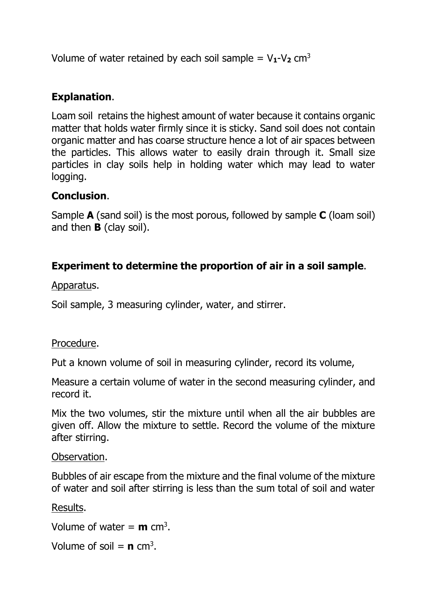Volume of water retained by each soil sample =  $V_1$ - $V_2$  cm<sup>3</sup>

# **Explanation**.

Loam soil retains the highest amount of water because it contains organic matter that holds water firmly since it is sticky. Sand soil does not contain organic matter and has coarse structure hence a lot of air spaces between the particles. This allows water to easily drain through it. Small size particles in clay soils help in holding water which may lead to water logging.

## **Conclusion**.

Sample **A** (sand soil) is the most porous, followed by sample **C** (loam soil) and then **B** (clay soil).

## **Experiment to determine the proportion of air in a soil sample**.

Apparatus.

Soil sample, 3 measuring cylinder, water, and stirrer.

### Procedure.

Put a known volume of soil in measuring cylinder, record its volume,

Measure a certain volume of water in the second measuring cylinder, and record it.

Mix the two volumes, stir the mixture until when all the air bubbles are given off. Allow the mixture to settle. Record the volume of the mixture after stirring.

#### Observation.

Bubbles of air escape from the mixture and the final volume of the mixture of water and soil after stirring is less than the sum total of soil and water

#### Results.

Volume of water = **m** cm<sup>3</sup>.

Volume of soil  $= n \text{ cm}^3$ .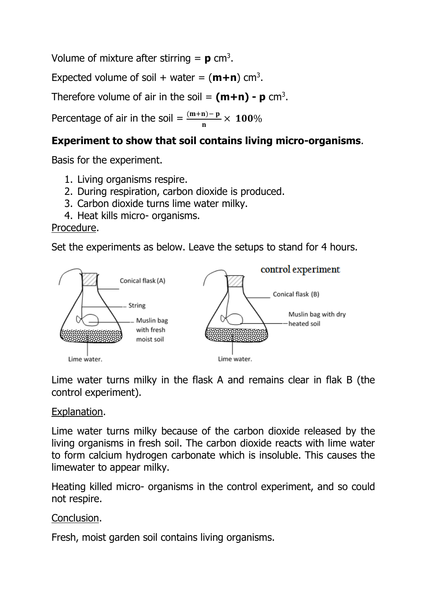Volume of mixture after stirring  $= p \text{ cm}^3$ .

Expected volume of soil + water =  $(m+n)$  cm<sup>3</sup>.

Therefore volume of air in the soil  $=$   $(m+n)$  -  $p$  cm<sup>3</sup>.

Percentage of air in the soil =  $\frac{(m+n)-p}{n} \times 100\%$ 

### **Experiment to show that soil contains living micro-organisms**.

Basis for the experiment.

- 1. Living organisms respire.
- 2. During respiration, carbon dioxide is produced.
- 3. Carbon dioxide turns lime water milky.
- 4. Heat kills micro- organisms.

#### Procedure.

Set the experiments as below. Leave the setups to stand for 4 hours.



Lime water turns milky in the flask A and remains clear in flak B (the control experiment).

#### Explanation.

Lime water turns milky because of the carbon dioxide released by the living organisms in fresh soil. The carbon dioxide reacts with lime water to form calcium hydrogen carbonate which is insoluble. This causes the limewater to appear milky.

Heating killed micro- organisms in the control experiment, and so could not respire.

#### Conclusion.

Fresh, moist garden soil contains living organisms.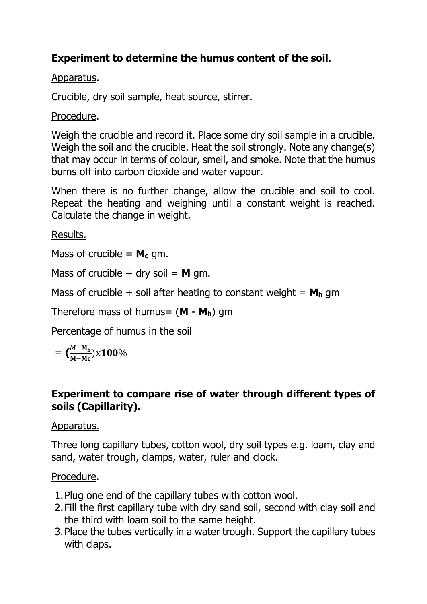# **Experiment to determine the humus content of the soil**.

### Apparatus.

Crucible, dry soil sample, heat source, stirrer.

### Procedure.

Weigh the crucible and record it. Place some dry soil sample in a crucible. Weigh the soil and the crucible. Heat the soil strongly. Note any change(s) that may occur in terms of colour, smell, and smoke. Note that the humus burns off into carbon dioxide and water vapour.

When there is no further change, allow the crucible and soil to cool. Repeat the heating and weighing until a constant weight is reached. Calculate the change in weight.

Results.

Mass of crucible  $= M_c$  gm.

Mass of crucible  $+$  dry soil  $=$  **M** gm.

Mass of crucible  $+$  soil after heating to constant weight  $= M_h$  gm

Therefore mass of humus= (**M - Mh**) gm

Percentage of humus in the soil

 $=$   $\left(\frac{M-M_h}{M-M_H}\right)$ <u>м—мъ</u>)х100%<br>м–мс

## **Experiment to compare rise of water through different types of soils (Capillarity).**

## Apparatus.

Three long capillary tubes, cotton wool, dry soil types e.g. loam, clay and sand, water trough, clamps, water, ruler and clock.

## Procedure.

- 1.Plug one end of the capillary tubes with cotton wool.
- 2.Fill the first capillary tube with dry sand soil, second with clay soil and the third with loam soil to the same height.
- 3.Place the tubes vertically in a water trough. Support the capillary tubes with claps.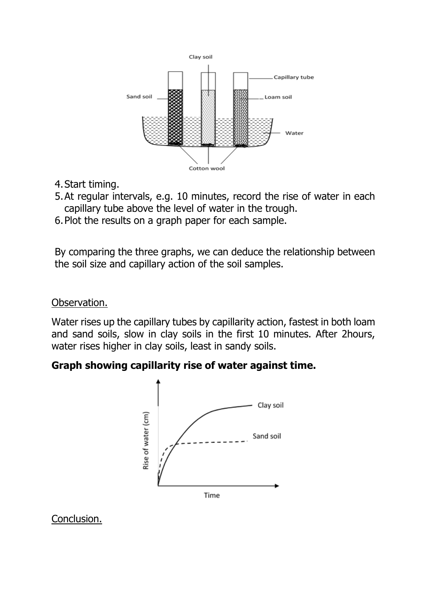

- 4.Start timing.
- 5.At regular intervals, e.g. 10 minutes, record the rise of water in each capillary tube above the level of water in the trough.
- 6.Plot the results on a graph paper for each sample.

By comparing the three graphs, we can deduce the relationship between the soil size and capillary action of the soil samples.

#### Observation.

Water rises up the capillary tubes by capillarity action, fastest in both loam and sand soils, slow in clay soils in the first 10 minutes. After 2hours, water rises higher in clay soils, least in sandy soils.

### **Graph showing capillarity rise of water against time.**



Conclusion.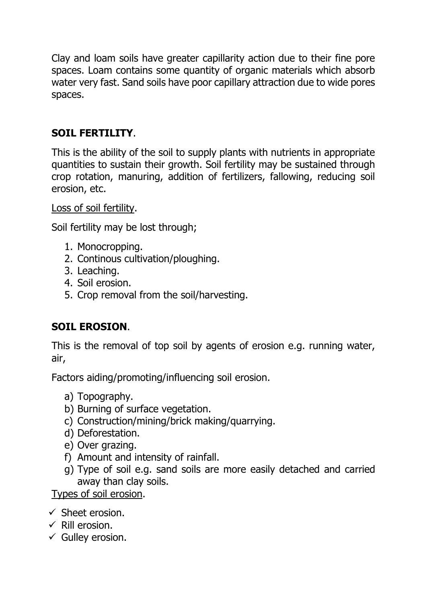Clay and loam soils have greater capillarity action due to their fine pore spaces. Loam contains some quantity of organic materials which absorb water very fast. Sand soils have poor capillary attraction due to wide pores spaces.

# **SOIL FERTILITY**.

This is the ability of the soil to supply plants with nutrients in appropriate quantities to sustain their growth. Soil fertility may be sustained through crop rotation, manuring, addition of fertilizers, fallowing, reducing soil erosion, etc.

Loss of soil fertility.

Soil fertility may be lost through;

- 1. Monocropping.
- 2. Continous cultivation/ploughing.
- 3. Leaching.
- 4. Soil erosion.
- 5. Crop removal from the soil/harvesting.

# **SOIL EROSION**.

This is the removal of top soil by agents of erosion e.g. running water, air,

Factors aiding/promoting/influencing soil erosion.

- a) Topography.
- b) Burning of surface vegetation.
- c) Construction/mining/brick making/quarrying.
- d) Deforestation.
- e) Over grazing.
- f) Amount and intensity of rainfall.
- g) Type of soil e.g. sand soils are more easily detached and carried away than clay soils.

Types of soil erosion.

- $\checkmark$  Sheet erosion.
- $\checkmark$  Rill erosion.
- $\checkmark$  Gulley erosion.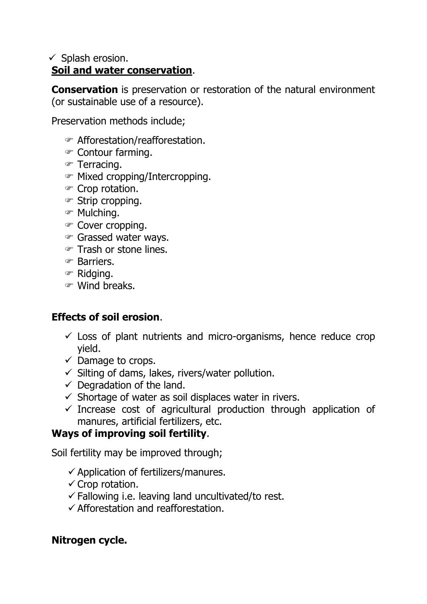### $\checkmark$  Splash erosion. **Soil and water conservation**.

**Conservation** is preservation or restoration of the natural environment (or sustainable use of a resource).

Preservation methods include;

- Afforestation/reafforestation.
- Contour farming.
- Terracing.
- Mixed cropping/Intercropping.
- Crop rotation.
- Strip cropping.
- Mulching.
- Cover cropping.
- Grassed water ways.
- Trash or stone lines.
- Barriers.
- Ridging.
- Wind breaks.

## **Effects of soil erosion**.

- $\checkmark$  Loss of plant nutrients and micro-organisms, hence reduce crop yield.
- $\checkmark$  Damage to crops.
- $\checkmark$  Silting of dams, lakes, rivers/water pollution.
- $\checkmark$  Degradation of the land.
- $\checkmark$  Shortage of water as soil displaces water in rivers.
- $\checkmark$  Increase cost of agricultural production through application of manures, artificial fertilizers, etc.

## **Ways of improving soil fertility**.

Soil fertility may be improved through;

- $\checkmark$  Application of fertilizers/manures.
- $\checkmark$  Crop rotation.
- $\checkmark$  Fallowing i.e. leaving land uncultivated/to rest.
- $\checkmark$  Afforestation and reafforestation.

## **Nitrogen cycle.**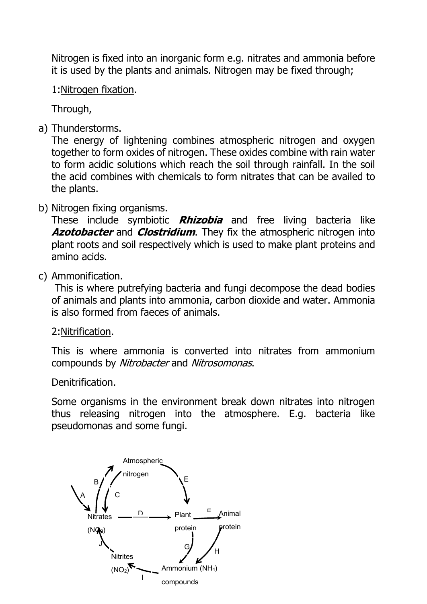Nitrogen is fixed into an inorganic form e.g. nitrates and ammonia before it is used by the plants and animals. Nitrogen may be fixed through;

#### 1:Nitrogen fixation.

Through,

a) Thunderstorms.

The energy of lightening combines atmospheric nitrogen and oxygen together to form oxides of nitrogen. These oxides combine with rain water to form acidic solutions which reach the soil through rainfall. In the soil the acid combines with chemicals to form nitrates that can be availed to the plants.

### b) Nitrogen fixing organisms.

These include symbiotic **Rhizobia** and free living bacteria like **Azotobacter** and **Clostridium**. They fix the atmospheric nitrogen into plant roots and soil respectively which is used to make plant proteins and amino acids.

### c) Ammonification.

This is where putrefying bacteria and fungi decompose the dead bodies of animals and plants into ammonia, carbon dioxide and water. Ammonia is also formed from faeces of animals.

#### 2:Nitrification.

This is where ammonia is converted into nitrates from ammonium compounds by Nitrobacter and Nitrosomonas.

Denitrification.

Some organisms in the environment break down nitrates into nitrogen thus releasing nitrogen into the atmosphere. E.g. bacteria like pseudomonas and some fungi.